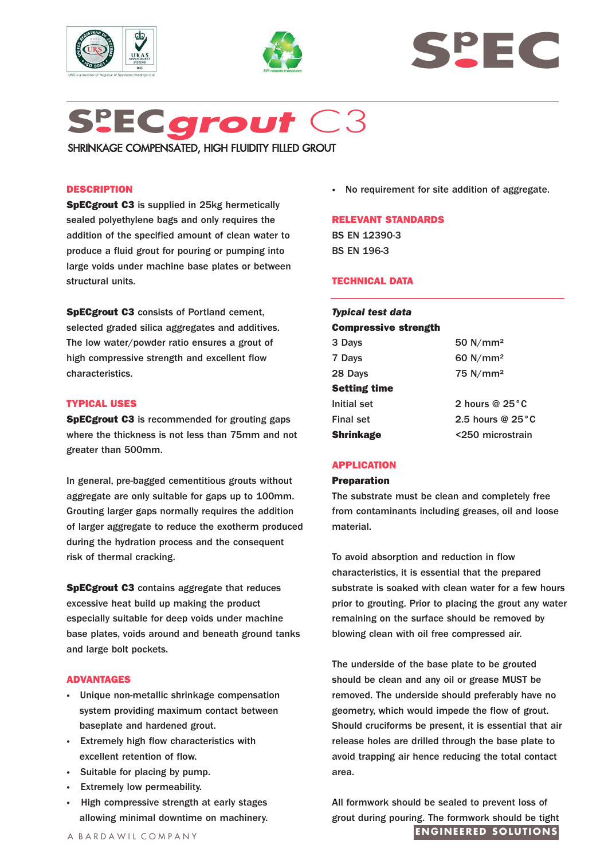







**DESCRIPTION**

**SpECgrout C3** is supplied in 25kg hermetically sealed polyethylene bags and only requires the addition of the specified amount of clean water to produce a fluid grout for pouring or pumping into large voids under machine base plates or between structural units.

**SpECgrout C3** consists of Portland cement, selected graded silica aggregates and additives. The low water/powder ratio ensures a grout of high compressive strength and excellent flow characteristics.

# **TYPICAL USES**

**SpECgrout C3** is recommended for grouting gaps where the thickness is not less than 75mm and not greater than 500mm.

In general, pre-bagged cementitious grouts without aggregate are only suitable for gaps up to 100mm. Grouting larger gaps normally requires the addition of larger aggregate to reduce the exotherm produced during the hydration process and the consequent risk of thermal cracking.

**SpECgrout C3** contains aggregate that reduces excessive heat build up making the product especially suitable for deep voids under machine base plates, voids around and beneath ground tanks and large bolt pockets.

# **ADVANTAGES**

- **·** Unique non-metallic shrinkage compensation system providing maximum contact between baseplate and hardened grout.
- **·** Extremely high flow characteristics with excellent retention of flow.
- **·** Suitable for placing by pump.
- **·** Extremely low permeability.
- **·** High compressive strength at early stages allowing minimal downtime on machinery.

**·** No requirement for site addition of aggregate.

# **RELEVANT STANDARDS**

BS EN 12390-3 BS EN 196-3

### **TECHNICAL DATA**

| <b>Typical test data</b>    |                            |
|-----------------------------|----------------------------|
| <b>Compressive strength</b> |                            |
| 3 Days                      | 50 $N/mm2$                 |
| 7 Days                      | 60 N/mm <sup>2</sup>       |
| 28 Days                     | $75$ N/mm <sup>2</sup>     |
| <b>Setting time</b>         |                            |
| Initial set                 | 2 hours @ $25^{\circ}$ C   |
| <b>Final set</b>            | 2.5 hours @ $25^{\circ}$ C |
| <b>Shrinkage</b>            | <250 microstrain           |

# **APPLICATION**

#### **Preparation**

The substrate must be clean and completely free from contaminants including greases, oil and loose material.

To avoid absorption and reduction in flow characteristics, it is essential that the prepared substrate is soaked with clean water for a few hours prior to grouting. Prior to placing the grout any water remaining on the surface should be removed by blowing clean with oil free compressed air.

The underside of the base plate to be grouted should be clean and any oil or grease MUST be removed. The underside should preferably have no geometry, which would impede the flow of grout. Should cruciforms be present, it is essential that air release holes are drilled through the base plate to avoid trapping air hence reducing the total contact area.

All formwork should be sealed to prevent loss of grout during pouring. The formwork should be tight **ENGINEERED SOLUTIONS**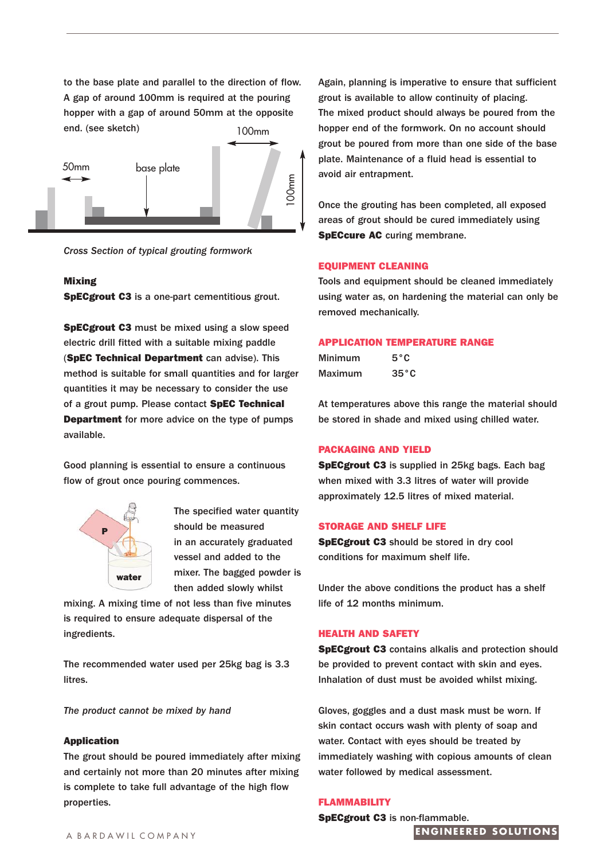to the base plate and parallel to the direction of flow. A gap of around 100mm is required at the pouring hopper with a gap of around 50mm at the opposite end. (see sketch) 100mm



*Cross Section of typical grouting formwork*

# **Mixing**

**SpECgrout C3** is a one-part cementitious grout.

**SpECgrout C3** must be mixed using a slow speed electric drill fitted with a suitable mixing paddle (**SpEC Technical Department** can advise). This method is suitable for small quantities and for larger quantities it may be necessary to consider the use of a grout pump. Please contact **SpEC Technical Department** for more advice on the type of pumps available.

Good planning is essential to ensure a continuous flow of grout once pouring commences.



The specified water quantity should be measured in an accurately graduated vessel and added to the mixer. The bagged powder is then added slowly whilst

mixing. A mixing time of not less than five minutes is required to ensure adequate dispersal of the ingredients.

The recommended water used per 25kg bag is 3.3 litres.

*The product cannot be mixed by hand*

# **Application**

The grout should be poured immediately after mixing and certainly not more than 20 minutes after mixing is complete to take full advantage of the high flow properties.

Again, planning is imperative to ensure that sufficient grout is available to allow continuity of placing. The mixed product should always be poured from the hopper end of the formwork. On no account should grout be poured from more than one side of the base plate. Maintenance of a fluid head is essential to avoid air entrapment.

Once the grouting has been completed, all exposed areas of grout should be cured immediately using **SpECcure AC** curing membrane.

#### **EQUIPMENT CLEANING**

Tools and equipment should be cleaned immediately using water as, on hardening the material can only be removed mechanically.

#### **APPLICATION TEMPERATURE RANGE**

| <b>Minimum</b> | $5^{\circ}$ C  |
|----------------|----------------|
| Maximum        | $35^{\circ}$ C |

At temperatures above this range the material should be stored in shade and mixed using chilled water.

#### **PACKAGING AND YIELD**

**SpECgrout C3** is supplied in 25kg bags. Each bag when mixed with 3.3 litres of water will provide approximately 12.5 litres of mixed material.

#### **STORAGE AND SHELF LIFE**

**SpECgrout C3** should be stored in dry cool conditions for maximum shelf life.

Under the above conditions the product has a shelf life of 12 months minimum.

# **HEALTH AND SAFETY**

**SpECgrout C3** contains alkalis and protection should be provided to prevent contact with skin and eyes. Inhalation of dust must be avoided whilst mixing.

Gloves, goggles and a dust mask must be worn. If skin contact occurs wash with plenty of soap and water. Contact with eyes should be treated by immediately washing with copious amounts of clean water followed by medical assessment.

# **FLAMMABILITY**

**SpECgrout C3** is non-flammable.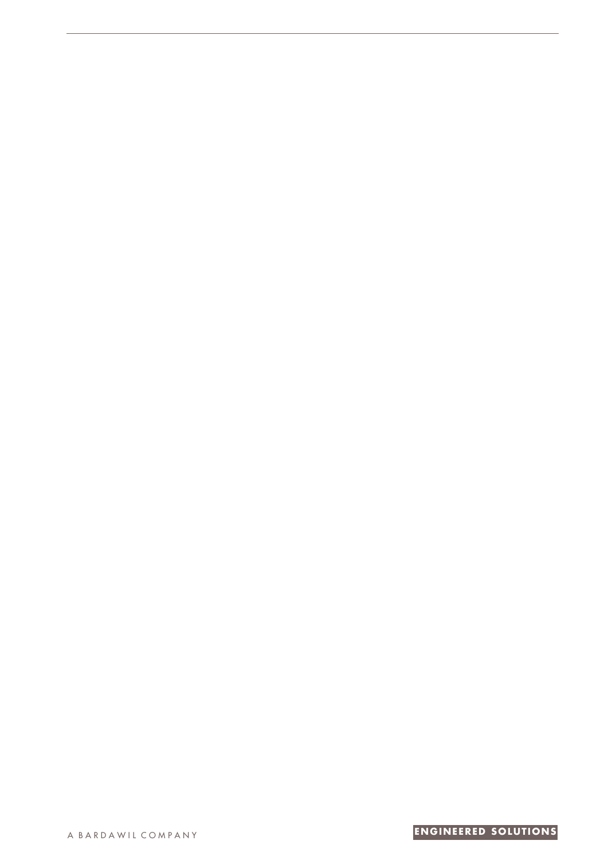# A BARDAWIL COMPANY **ENGINEERED SOLUTIONS**